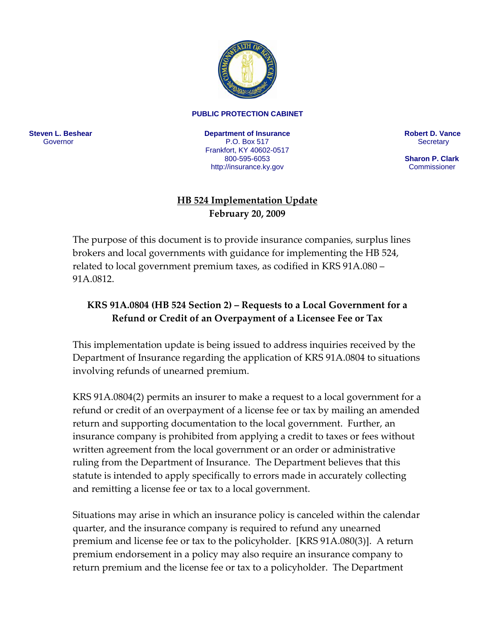

## **PUBLIC PROTECTION CABINET**

**Steven L. Beshear** Governor

**Department of Insurance**  P.O. Box 517 Frankfort, KY 40602-0517 800-595-6053 <http://insurance.ky.gov>

**Robert D. Vance Secretary** 

 **Sharon P. Clark Commissioner** 

## **HB 524 Implementation Update February 20, 2009**

The purpose of this document is to provide insurance companies, surplus lines brokers and local governments with guidance for implementing the HB 524, related to local government premium taxes, as codified in KRS 91A.080 – 91A.0812.

## **KRS 91A.0804 (HB 524 Section 2) – Requests to a Local Government for a Refund or Credit of an Overpayment of a Licensee Fee or Tax**

This implementation update is being issued to address inquiries received by the Department of Insurance regarding the application of KRS 91A.0804 to situations involving refunds of unearned premium.

KRS 91A.0804(2) permits an insurer to make a request to a local government for a refund or credit of an overpayment of a license fee or tax by mailing an amended return and supporting documentation to the local government. Further, an insurance company is prohibited from applying a credit to taxes or fees without written agreement from the local government or an order or administrative ruling from the Department of Insurance. The Department believes that this statute is intended to apply specifically to errors made in accurately collecting and remitting a license fee or tax to a local government.

Situations may arise in which an insurance policy is canceled within the calendar quarter, and the insurance company is required to refund any unearned premium and license fee or tax to the policyholder. [KRS 91A.080(3)]. A return premium endorsement in a policy may also require an insurance company to return premium and the license fee or tax to a policyholder. The Department